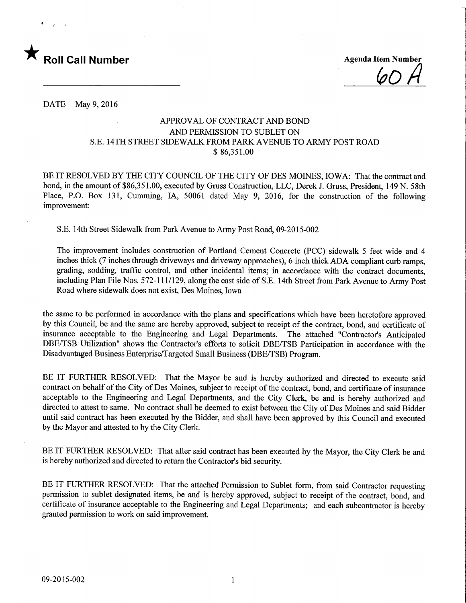

 $(a \cap$ 

DATE May 9, 2016

## APPROVAL OF CONTRACT AND BOND AND PERMISSION TO SUBLET ON S.E. 14TH STREET SIDEWALK FROM PARK AVENUE TO ARMY POST ROAD \$ 86,351.00

BE IT RESOLVED BY THE CITY COUNCIL OF THE CITY OF DES MOINES, IOWA: That the contract and bond, in the amount of \$86,351.00, executed by Grass Construction, LLC, Derek J. Gruss, President, 149 N. 58th Place, P.O. Box 131, Gumming, IA, 50061 dated May 9, 2016, for the construction of the following improvement:

S.E. 14th Street Sidewalk from Park Avenue to Army Post Road, 09-2015-002

The improvement includes construction of Portland Cement Concrete (PCC) sidewalk 5 feet wide and 4 inches thick (7 inches through driveways and driveway approaches), 6 inch thick ADA compliant curb ramps, grading, sodding, traffic control, and other incidental items; in accordance with the contract documents, including Plan File Nos. 572-1 11/129, along the east side of S.E. 14th Street from Park Avenue to Army Post Road where sidewalk does not exist, Des Moines, Iowa

the same to be performed in accordance with the plans and specifications which have been heretofore approved by this Council, be and the same are hereby approved, subject to receipt of the contract, bond, and certificate of insurance acceptable to the Engineering and Legal Departments. The attached "Contractor's Anticipated DBE/TSB Utilization" shows the Contractor's efforts to solicit DBE/TSB Participation in accordance with the Disadvantaged Business Enterprise/Targeted Small Business (DBE/TSB) Program.

BE IT FURTHER RESOLVED: That the Mayor be and is hereby authorized and directed to execute said contract on behalf of the City of Des Moines, subject to receipt of the contract, bond, and certificate of insurance acceptable to the Engineering and Legal Departments, and the City Clerk, be and is hereby authorized and directed to attest to same. No contract shall be deemed to exist between the City of Des Moines and said Bidder until said contract has been executed by the Bidder, and shall have been approved by this Council and executed by the Mayor and attested to by the City Clerk.

BE IT FURTHER RESOLVED: That after said contract has been executed by the Mayor, the City Clerk be and is hereby authorized and directed to return the Contractor's bid security.

BE IT FURTHER RESOLVED: That the attached Permission to Sublet form, from said Contractor requesting permission to sublet designated items, be and is hereby approved, subject to receipt of the contract, bond, and certificate of insurance acceptable to the Engineering and Legal Departments; and each subcontractor is hereby granted permission to work on said improvement.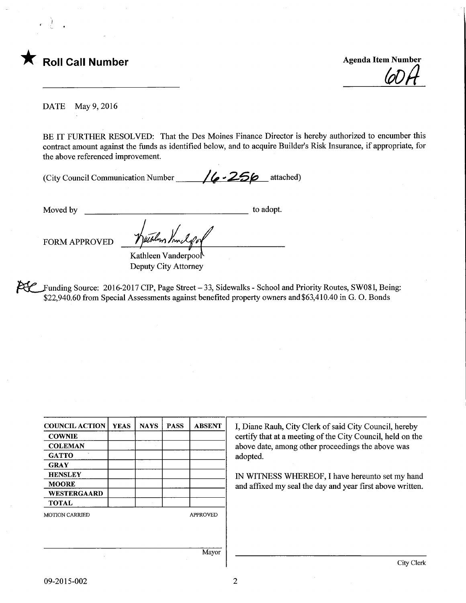

(oDft

DATE May 9, 2016

BE IT FURTHER RESOLVED: That the Des Moines Finance Director is hereby authorized to encumber this contract amount against the funds as identified below, and to acquire Builder's Risk Insurance, if appropriate, for the above referenced improvement.

(City Council Communication Number  $/6$  -256 attached)

Moved by to adopt.

FORM APPROVED

Kathleen Vanderpool Deputy City Attorney

Whens You

Funding Source: 2016-2017 CIP, Page Street - 33, Sidewalks - School and Priority Routes, SW081, Being: \$22,940.60 from Special Assessments against benefited property owners and\$63,410.40 in G. 0. Bonds

|             |             | <b>ABSENT</b>   |
|-------------|-------------|-----------------|
|             |             |                 |
|             |             |                 |
|             |             |                 |
|             |             |                 |
|             |             |                 |
|             |             |                 |
|             |             |                 |
|             |             |                 |
|             |             | <b>APPROVED</b> |
|             |             |                 |
|             |             |                 |
|             |             | Mayor           |
| <b>YEAS</b> | <b>NAYS</b> | <b>PASS</b>     |

I, Diane Rauh, City Clerk of said City Council, hereby certify that at a meeting of the City Council, held on the above date, among other proceedings the above was adopted.

IN WITNESS WHEREOF, I have hereunto set my hand and affixed my seal the day and year first above written.